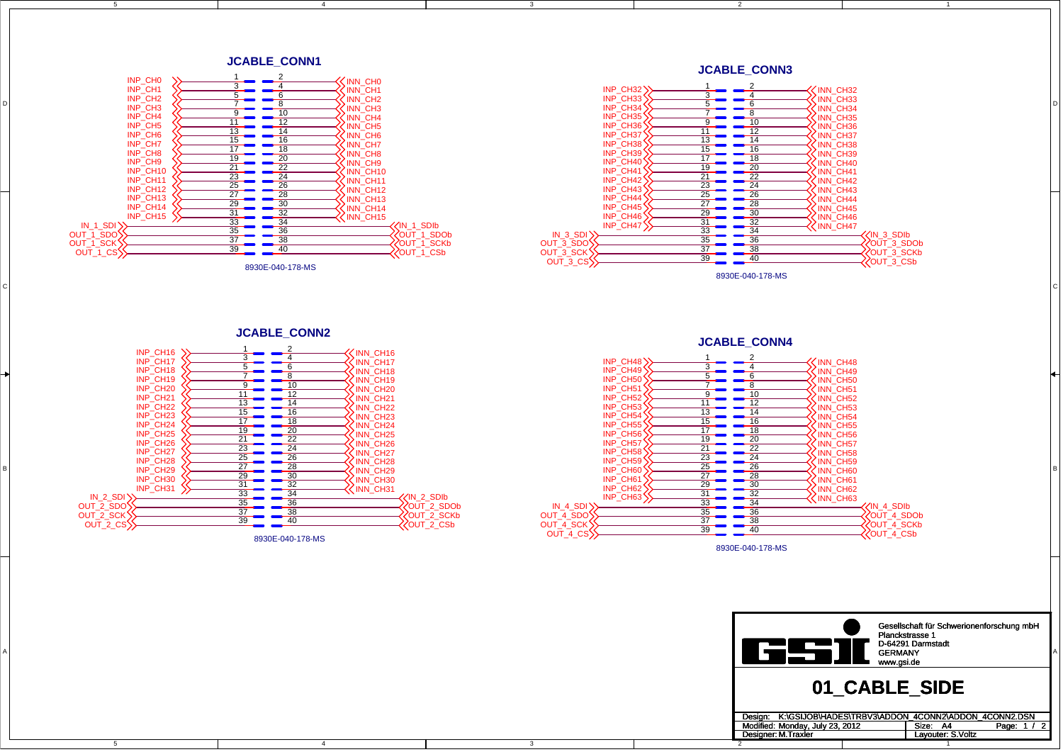5

4

2Designer: M. Traxler

3

1

D

C

B

A













8930E-040-178-MS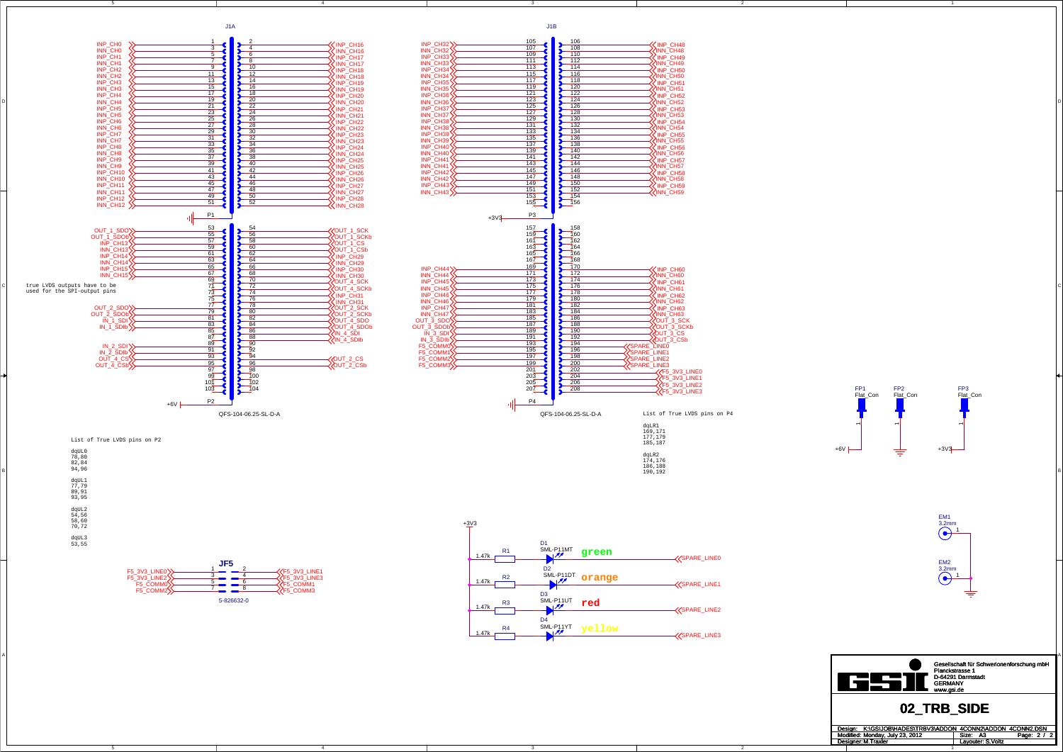5

4

4

3

3

2

2

C

A



A

dqLR2 174,176 186,188 190,192

INP\_CH16













|                                        | Gesellschaft für Schwerionenforschung mbH<br>Planckstrasse 1<br>D-64291 Darmstadt<br><b>GERMANY</b><br>www.asi.de |  |  |  |
|----------------------------------------|-------------------------------------------------------------------------------------------------------------------|--|--|--|
| 02 TRB SIDE                            |                                                                                                                   |  |  |  |
| K:\GSIJOB\HADES\TRBV3\ADDON<br>Desian: | 4CONN2\ADDON 4CONN2.DSN                                                                                           |  |  |  |
| Modified: Monday, July 23, 2012        | Size:<br>2l<br>А3<br>Page:                                                                                        |  |  |  |
| Designer: M. Traxler                   | Lavouter: S.Voltz                                                                                                 |  |  |  |
|                                        |                                                                                                                   |  |  |  |





5



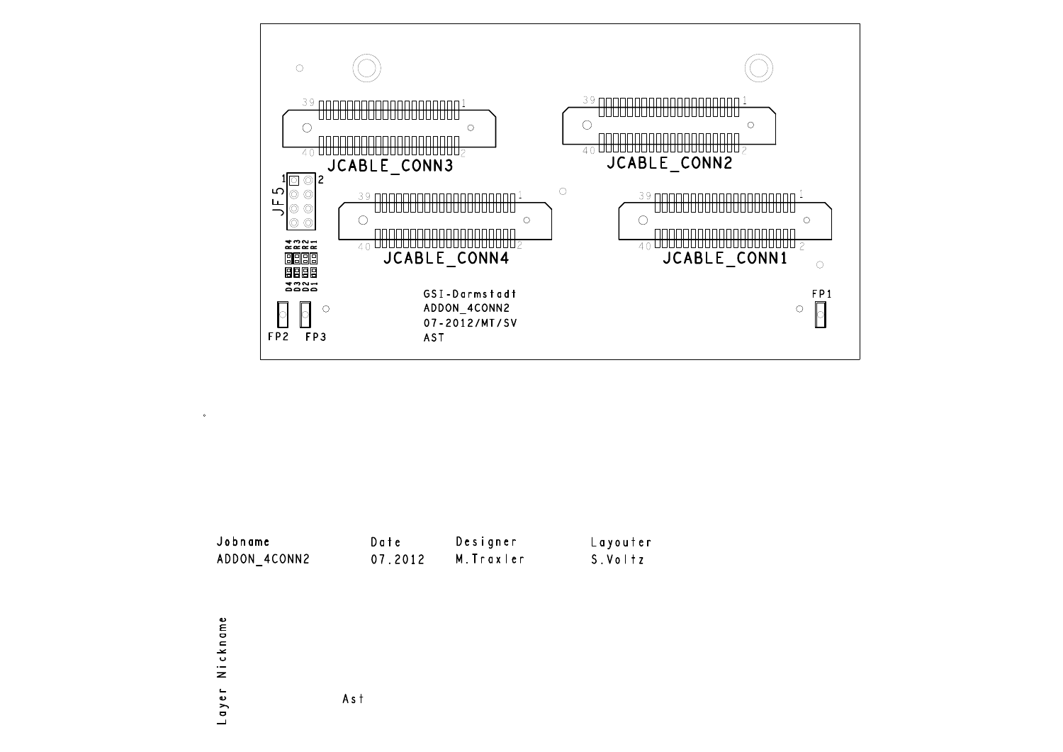





Ast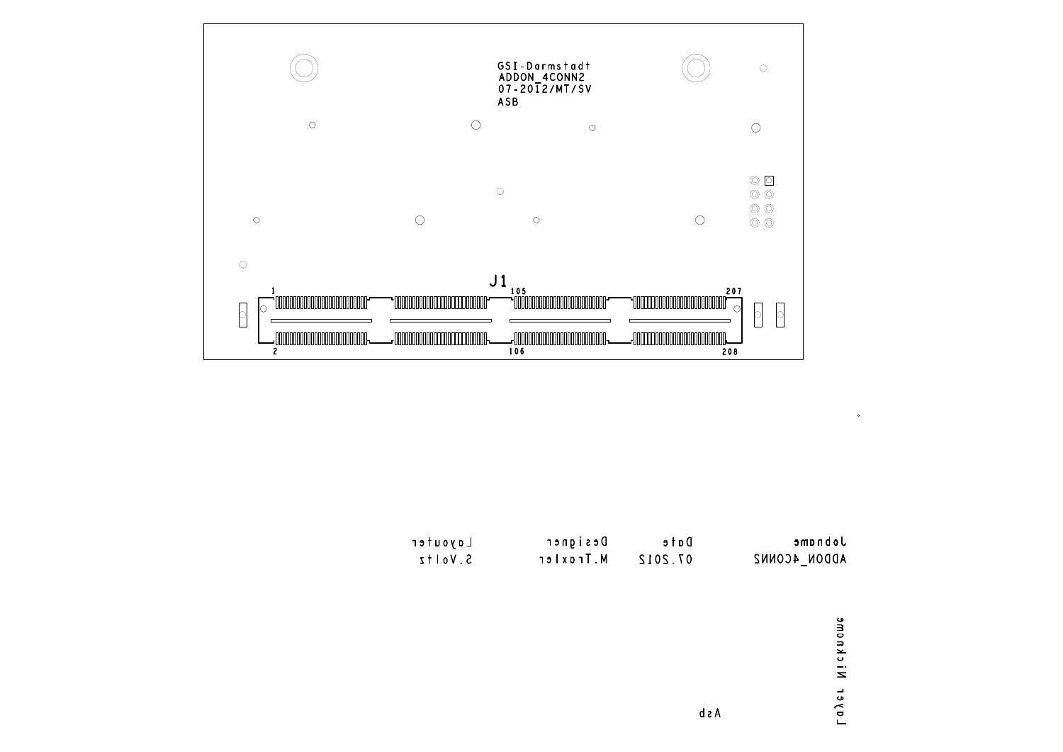



Layer Nickname

 $\bullet$ 

d s A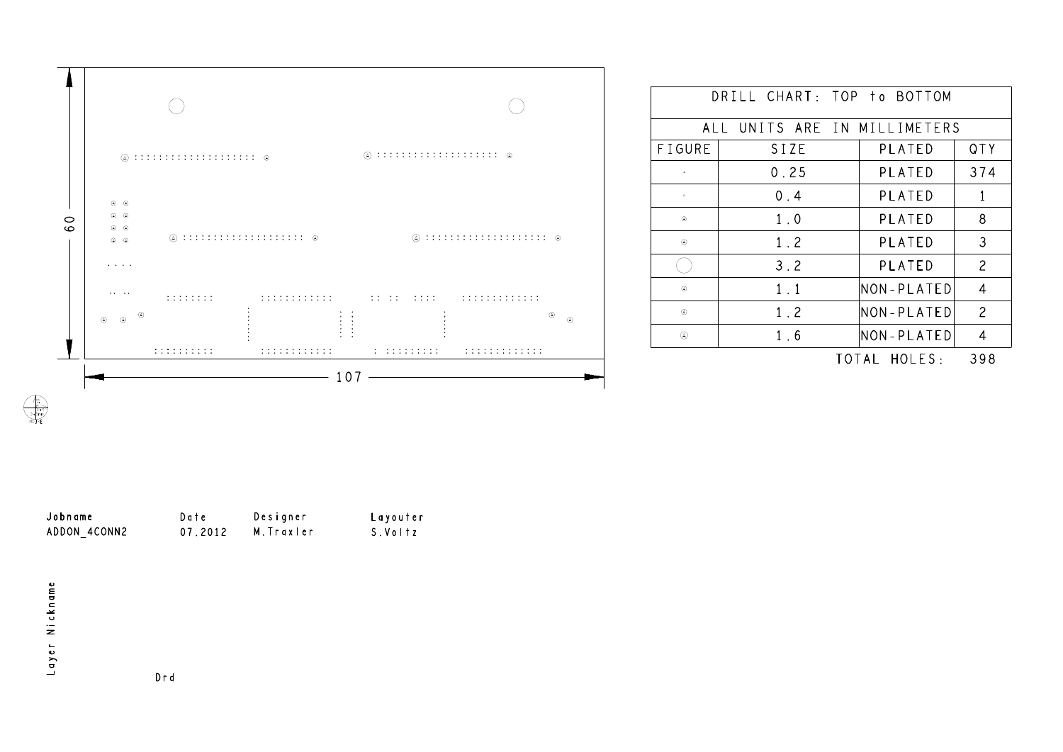

|               | DRILL CHART: TOP to BOTTOM   |                  |                |
|---------------|------------------------------|------------------|----------------|
|               | ALL UNITS ARE IN MILLIMETERS |                  |                |
| <b>FIGURE</b> | SIZE                         | PLATED           | QTY            |
|               | 0.25                         | PLATED           | 374            |
| $\circ$       | 0.4                          | <b>PLATED</b>    | 1              |
| ⊛             | 1.0                          | PLATED           | 8              |
| $^{\circ}$    | 1.2                          | PLATED           | 3              |
|               | 3.2                          | PLATED           | $\overline{c}$ |
| ⊛             | 1.1                          | NON-PLATED       | 4              |
| $^\circledR$  | 1.2                          | NON-PLATED       | $\overline{c}$ |
| ⊛             | 1.6                          | NON-PLATED       | 4              |
|               |                              | HOLFS ·<br>TOTAL | 398            |

| Jobname      | Date    | Designer   | Layouter |
|--------------|---------|------------|----------|
| ADDON 4CONN2 | 07.2012 | M. Traxler | S.Voltz  |

Drd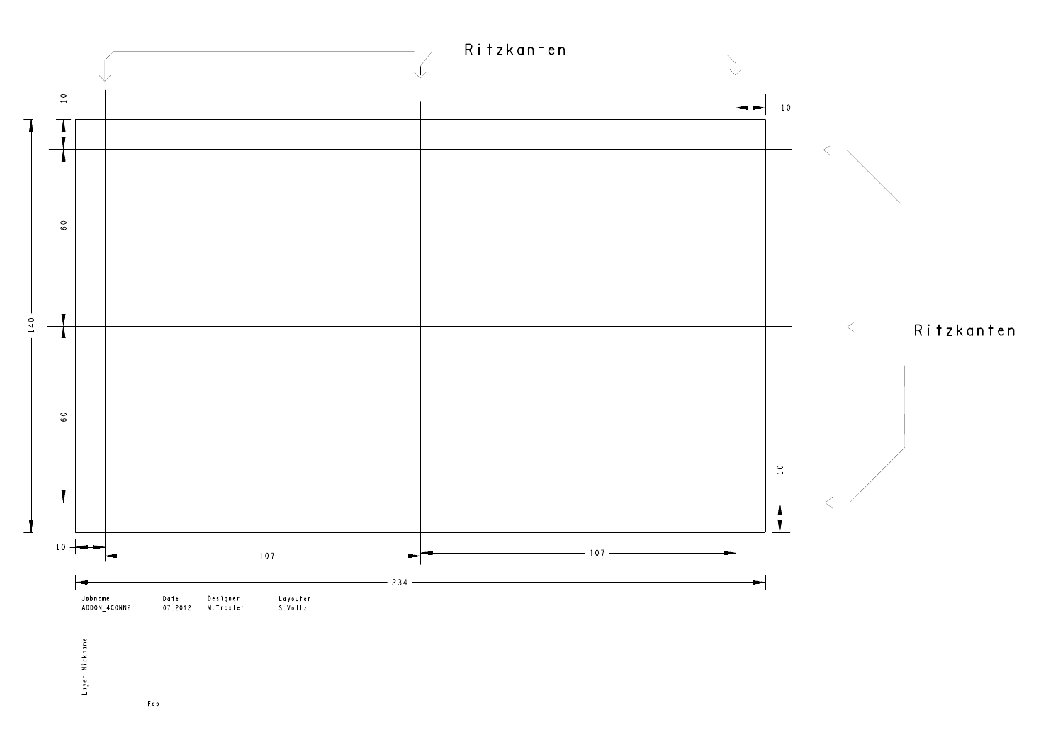

 $F a b$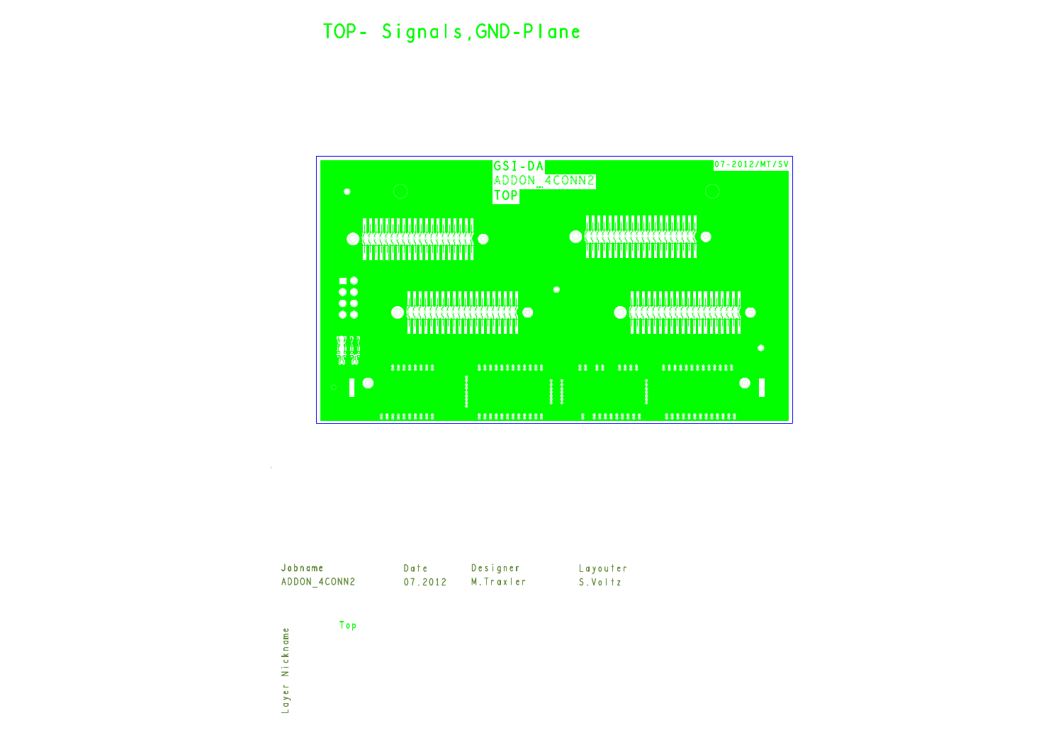



| Jobname      | Date    | Designer   | Layouter |
|--------------|---------|------------|----------|
| ADDON 4CONN2 | 07.2012 | M. Traxler | S.Voltz  |

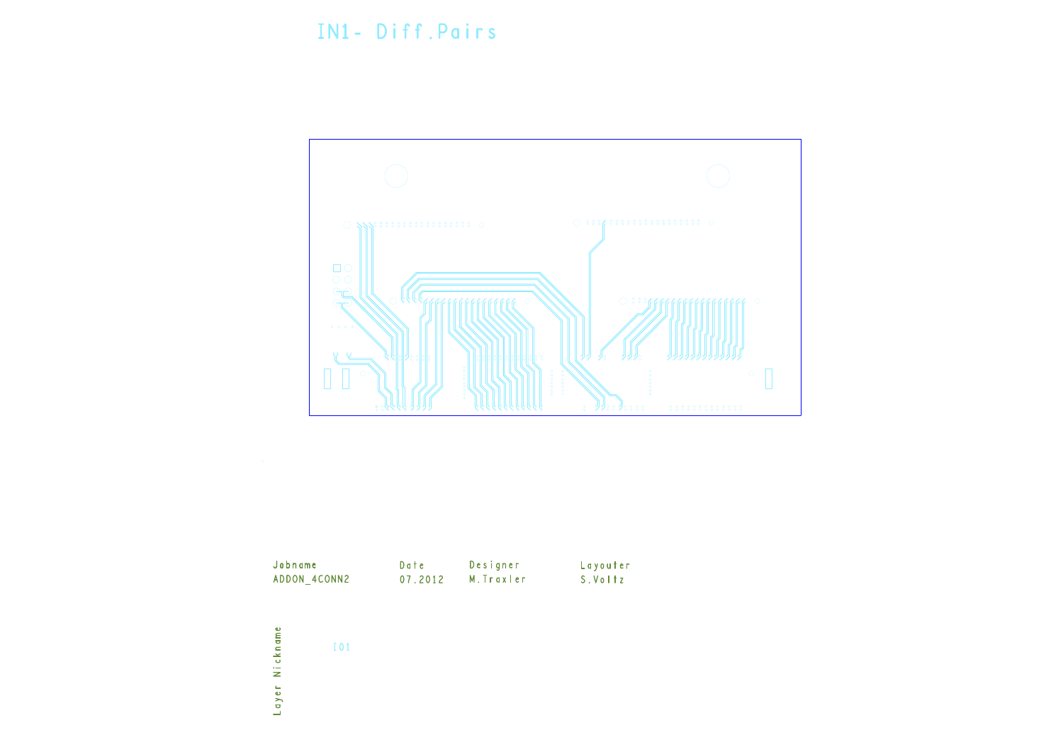## IN1- Diff.Pairs





| ADDON 4CONN2 | 07.2012 | M. Traxler | S.Voltz |
|--------------|---------|------------|---------|
|              |         |            |         |

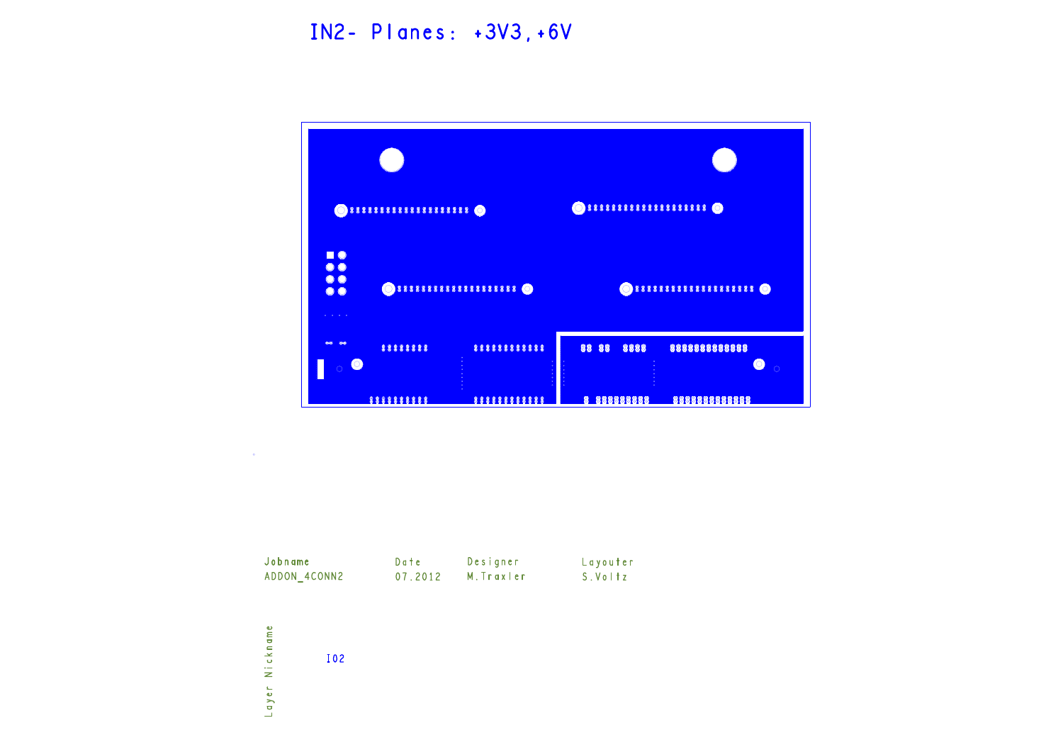## IN2- Planes: +3V3, +6V





| Jobname      | Date    | Designer   | Layouter |
|--------------|---------|------------|----------|
| ADDON 4CONN2 | 07.2012 | M. Traxler | S.VoItz  |

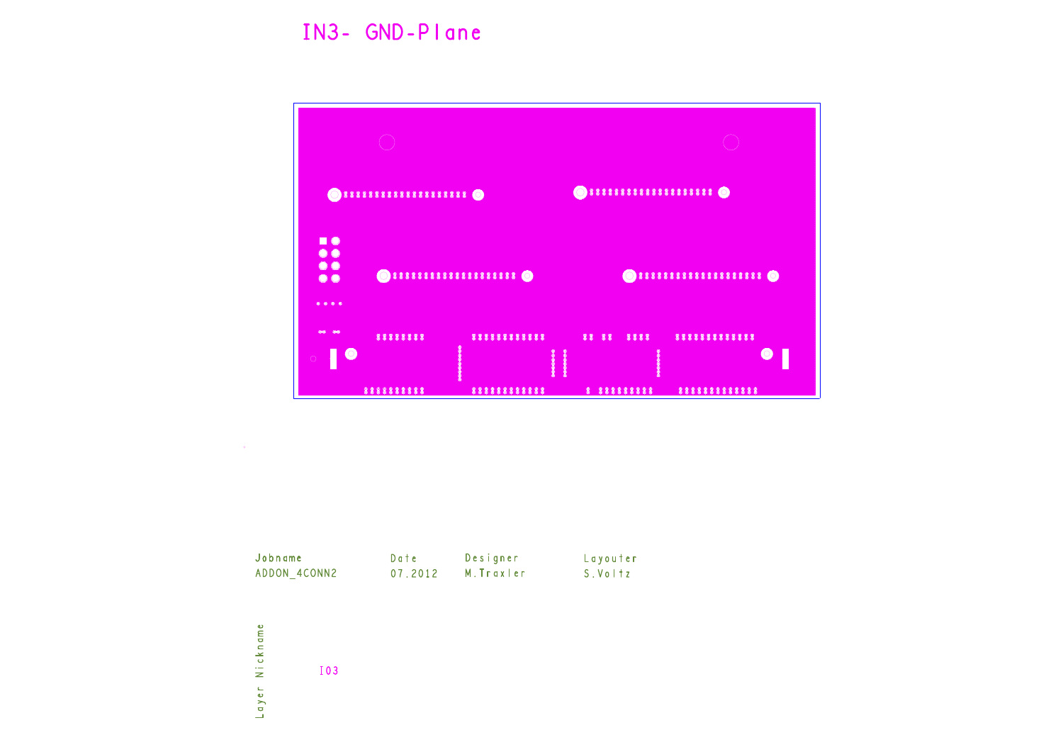## IN3- GND-Plane



 $\sim$ 

Jobname Date Designer Layouter ADDON\_4CONN2 07.2012 M. Traxler S. Voltz

Layer Nickname **I03**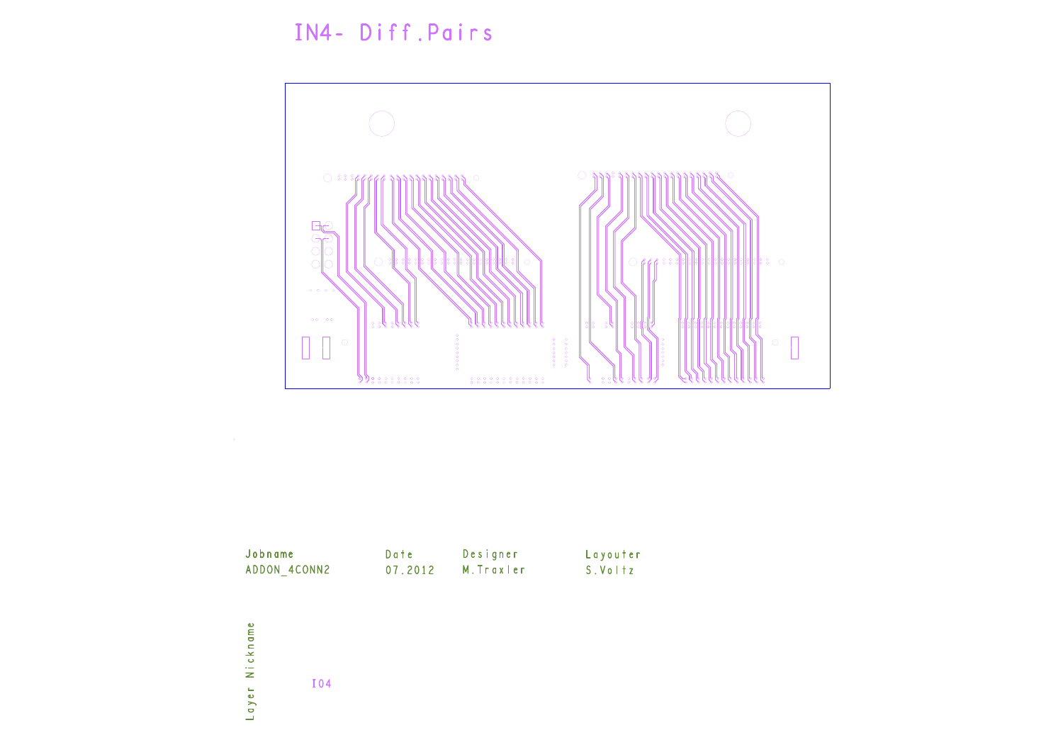## IN4- Diff.Pairs







| Jobname      | Date    | Designer   | <b>Layouter</b> |
|--------------|---------|------------|-----------------|
| ADDON 4CONN2 | 07.2012 | M. Traxler | S.Voltz         |
|              |         |            |                 |
|              |         |            |                 |
|              |         |            |                 |







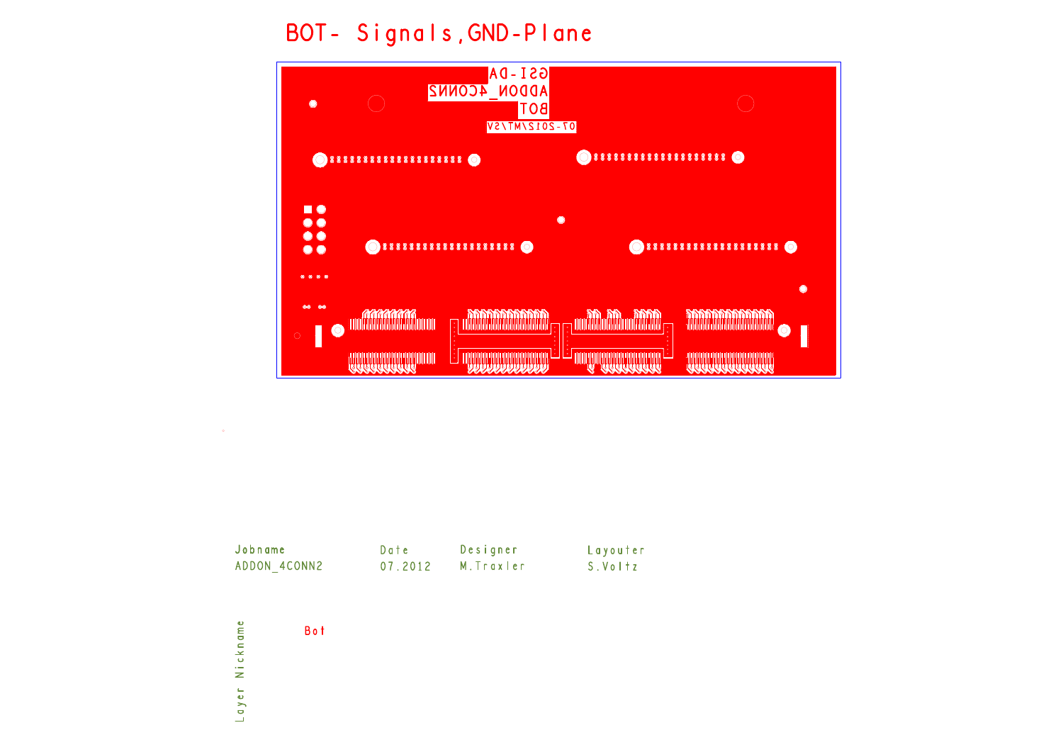BOT- Signals, GND-Plane







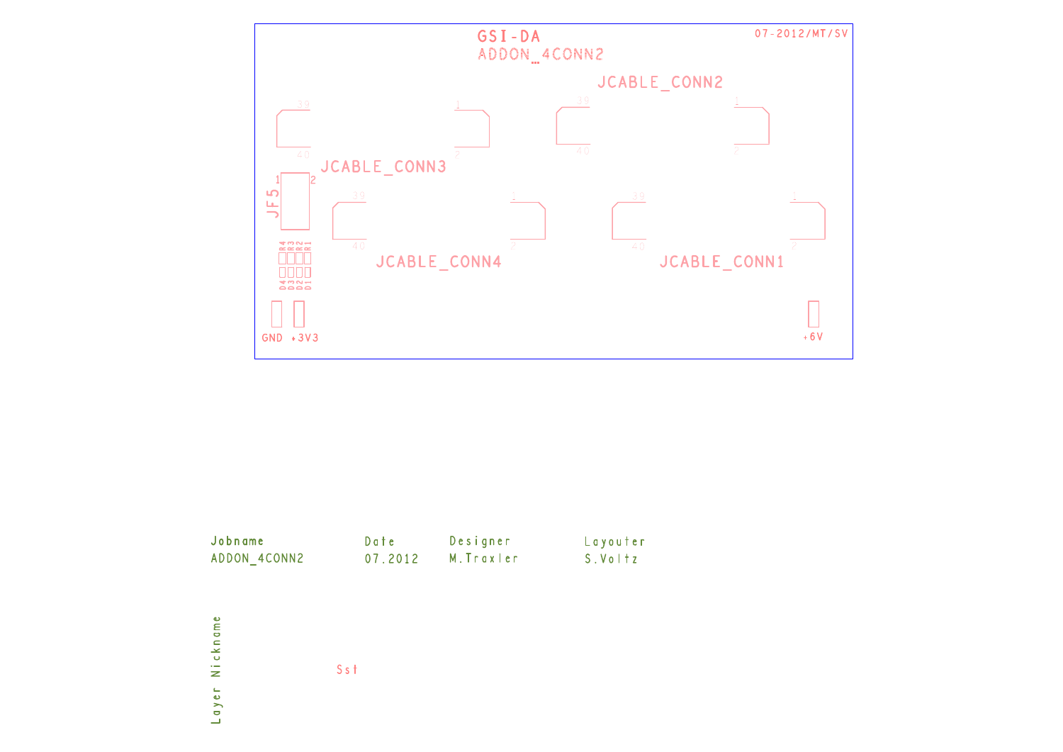